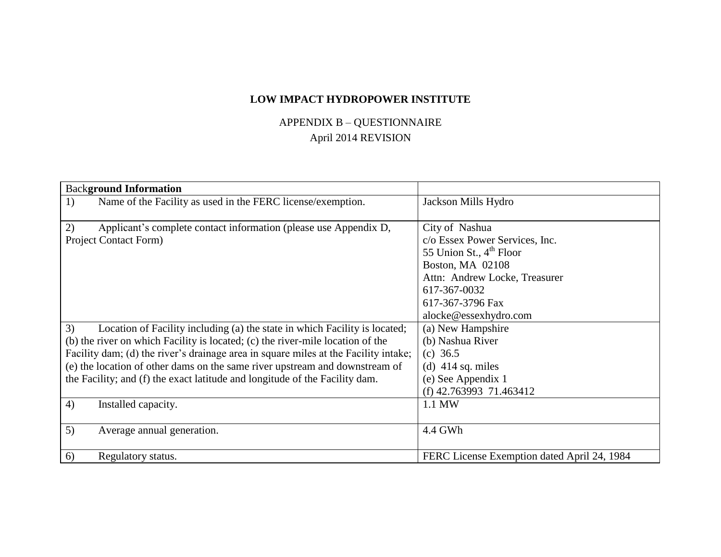## **LOW IMPACT HYDROPOWER INSTITUTE**

## APPENDIX B – QUESTIONNAIRE April 2014 REVISION

| <b>Background Information</b>                                                                                                                                                                                                                                                                                                                                                                                                                        |                                                                                                                                                                                                           |
|------------------------------------------------------------------------------------------------------------------------------------------------------------------------------------------------------------------------------------------------------------------------------------------------------------------------------------------------------------------------------------------------------------------------------------------------------|-----------------------------------------------------------------------------------------------------------------------------------------------------------------------------------------------------------|
| Name of the Facility as used in the FERC license/exemption.<br>1)                                                                                                                                                                                                                                                                                                                                                                                    | Jackson Mills Hydro                                                                                                                                                                                       |
| 2)<br>Applicant's complete contact information (please use Appendix D,<br>Project Contact Form)                                                                                                                                                                                                                                                                                                                                                      | City of Nashua<br>c/o Essex Power Services, Inc.<br>55 Union St., $4^{\text{th}}$ Floor<br>Boston, MA 02108<br>Attn: Andrew Locke, Treasurer<br>617-367-0032<br>617-367-3796 Fax<br>alocke@essexhydro.com |
| 3)<br>Location of Facility including (a) the state in which Facility is located;<br>(b) the river on which Facility is located; (c) the river-mile location of the<br>Facility dam; (d) the river's drainage area in square miles at the Facility intake;<br>(e) the location of other dams on the same river upstream and downstream of<br>the Facility; and (f) the exact latitude and longitude of the Facility dam.<br>4)<br>Installed capacity. | (a) New Hampshire<br>(b) Nashua River<br>(c) $36.5$<br>(d) $414$ sq. miles<br>(e) See Appendix 1<br>(f) $42.763993$ 71.463412<br>1.1 MW                                                                   |
|                                                                                                                                                                                                                                                                                                                                                                                                                                                      |                                                                                                                                                                                                           |
| 5)<br>Average annual generation.                                                                                                                                                                                                                                                                                                                                                                                                                     | 4.4 GWh                                                                                                                                                                                                   |
| 6)<br>Regulatory status.                                                                                                                                                                                                                                                                                                                                                                                                                             | FERC License Exemption dated April 24, 1984                                                                                                                                                               |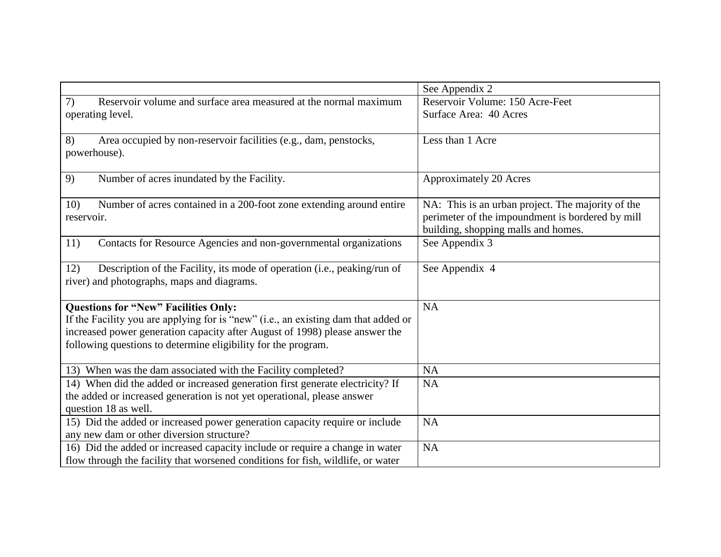|                                                                                                                          | See Appendix 2                                                                          |
|--------------------------------------------------------------------------------------------------------------------------|-----------------------------------------------------------------------------------------|
| 7)<br>Reservoir volume and surface area measured at the normal maximum                                                   | Reservoir Volume: 150 Acre-Feet                                                         |
| operating level.                                                                                                         | Surface Area: 40 Acres                                                                  |
| 8)<br>Area occupied by non-reservoir facilities (e.g., dam, penstocks,                                                   | Less than 1 Acre                                                                        |
| powerhouse).                                                                                                             |                                                                                         |
| 9)<br>Number of acres inundated by the Facility.                                                                         | <b>Approximately 20 Acres</b>                                                           |
| Number of acres contained in a 200-foot zone extending around entire<br>10)                                              | NA: This is an urban project. The majority of the                                       |
| reservoir.                                                                                                               | perimeter of the impoundment is bordered by mill<br>building, shopping malls and homes. |
| 11)<br>Contacts for Resource Agencies and non-governmental organizations                                                 | See Appendix 3                                                                          |
| Description of the Facility, its mode of operation (i.e., peaking/run of<br>12)                                          | See Appendix 4                                                                          |
| river) and photographs, maps and diagrams.                                                                               |                                                                                         |
| <b>Questions for "New" Facilities Only:</b>                                                                              | <b>NA</b>                                                                               |
| If the Facility you are applying for is "new" (i.e., an existing dam that added or                                       |                                                                                         |
| increased power generation capacity after August of 1998) please answer the                                              |                                                                                         |
| following questions to determine eligibility for the program.                                                            |                                                                                         |
| 13) When was the dam associated with the Facility completed?                                                             | <b>NA</b>                                                                               |
| 14) When did the added or increased generation first generate electricity? If                                            | <b>NA</b>                                                                               |
| the added or increased generation is not yet operational, please answer                                                  |                                                                                         |
| question 18 as well.                                                                                                     |                                                                                         |
| 15) Did the added or increased power generation capacity require or include<br>any new dam or other diversion structure? | <b>NA</b>                                                                               |
| 16) Did the added or increased capacity include or require a change in water                                             | <b>NA</b>                                                                               |
| flow through the facility that worsened conditions for fish, wildlife, or water                                          |                                                                                         |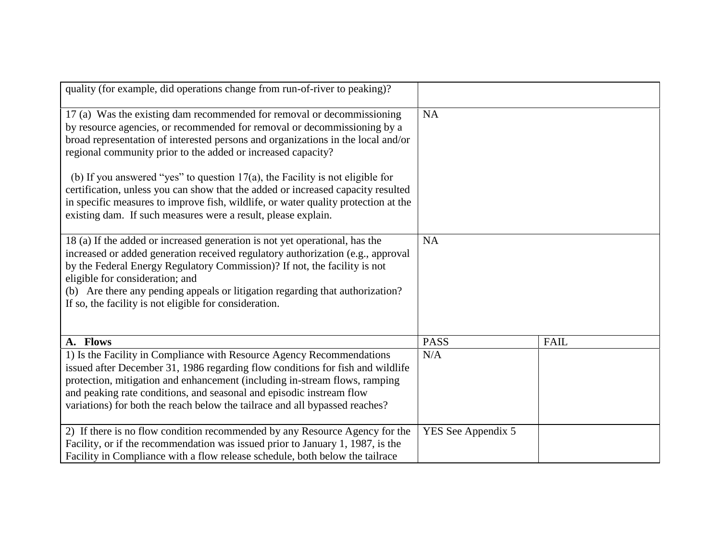| quality (for example, did operations change from run-of-river to peaking)?                                                                                                                                                                                                                                                                                                                                                |                    |             |
|---------------------------------------------------------------------------------------------------------------------------------------------------------------------------------------------------------------------------------------------------------------------------------------------------------------------------------------------------------------------------------------------------------------------------|--------------------|-------------|
| 17 (a) Was the existing dam recommended for removal or decommissioning<br>by resource agencies, or recommended for removal or decommissioning by a<br>broad representation of interested persons and organizations in the local and/or<br>regional community prior to the added or increased capacity?                                                                                                                    | <b>NA</b>          |             |
| (b) If you answered "yes" to question $17(a)$ , the Facility is not eligible for<br>certification, unless you can show that the added or increased capacity resulted<br>in specific measures to improve fish, wildlife, or water quality protection at the<br>existing dam. If such measures were a result, please explain.                                                                                               |                    |             |
| 18 (a) If the added or increased generation is not yet operational, has the<br>increased or added generation received regulatory authorization (e.g., approval<br>by the Federal Energy Regulatory Commission)? If not, the facility is not<br>eligible for consideration; and<br>(b) Are there any pending appeals or litigation regarding that authorization?<br>If so, the facility is not eligible for consideration. | <b>NA</b>          |             |
| A. Flows                                                                                                                                                                                                                                                                                                                                                                                                                  | <b>PASS</b>        | <b>FAIL</b> |
| 1) Is the Facility in Compliance with Resource Agency Recommendations<br>issued after December 31, 1986 regarding flow conditions for fish and wildlife<br>protection, mitigation and enhancement (including in-stream flows, ramping<br>and peaking rate conditions, and seasonal and episodic instream flow<br>variations) for both the reach below the tailrace and all bypassed reaches?                              | N/A                |             |
| 2) If there is no flow condition recommended by any Resource Agency for the<br>Facility, or if the recommendation was issued prior to January 1, 1987, is the<br>Facility in Compliance with a flow release schedule, both below the tailrace                                                                                                                                                                             | YES See Appendix 5 |             |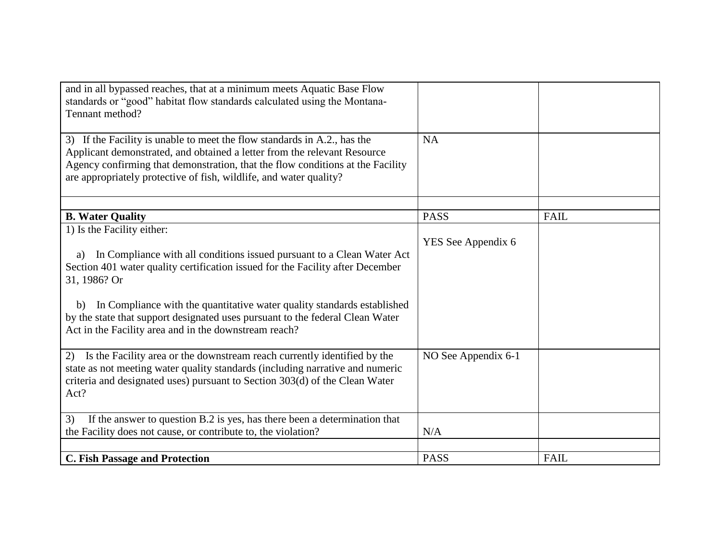| and in all bypassed reaches, that at a minimum meets Aquatic Base Flow<br>standards or "good" habitat flow standards calculated using the Montana-<br>Tennant method?                                                                                                                                                                                                                                                                   |                     |             |
|-----------------------------------------------------------------------------------------------------------------------------------------------------------------------------------------------------------------------------------------------------------------------------------------------------------------------------------------------------------------------------------------------------------------------------------------|---------------------|-------------|
| 3) If the Facility is unable to meet the flow standards in A.2., has the<br>Applicant demonstrated, and obtained a letter from the relevant Resource<br>Agency confirming that demonstration, that the flow conditions at the Facility<br>are appropriately protective of fish, wildlife, and water quality?                                                                                                                            | <b>NA</b>           |             |
|                                                                                                                                                                                                                                                                                                                                                                                                                                         |                     |             |
| <b>B.</b> Water Quality                                                                                                                                                                                                                                                                                                                                                                                                                 | <b>PASS</b>         | <b>FAIL</b> |
| 1) Is the Facility either:<br>In Compliance with all conditions issued pursuant to a Clean Water Act<br>a)<br>Section 401 water quality certification issued for the Facility after December<br>31, 1986? Or<br>In Compliance with the quantitative water quality standards established<br>b)<br>by the state that support designated uses pursuant to the federal Clean Water<br>Act in the Facility area and in the downstream reach? | YES See Appendix 6  |             |
|                                                                                                                                                                                                                                                                                                                                                                                                                                         |                     |             |
| 2) Is the Facility area or the downstream reach currently identified by the<br>state as not meeting water quality standards (including narrative and numeric<br>criteria and designated uses) pursuant to Section 303(d) of the Clean Water<br>Act?                                                                                                                                                                                     | NO See Appendix 6-1 |             |
| If the answer to question B.2 is yes, has there been a determination that<br>3)                                                                                                                                                                                                                                                                                                                                                         |                     |             |
| the Facility does not cause, or contribute to, the violation?                                                                                                                                                                                                                                                                                                                                                                           | N/A                 |             |
|                                                                                                                                                                                                                                                                                                                                                                                                                                         |                     |             |
| <b>C. Fish Passage and Protection</b>                                                                                                                                                                                                                                                                                                                                                                                                   | <b>PASS</b>         | FAIL        |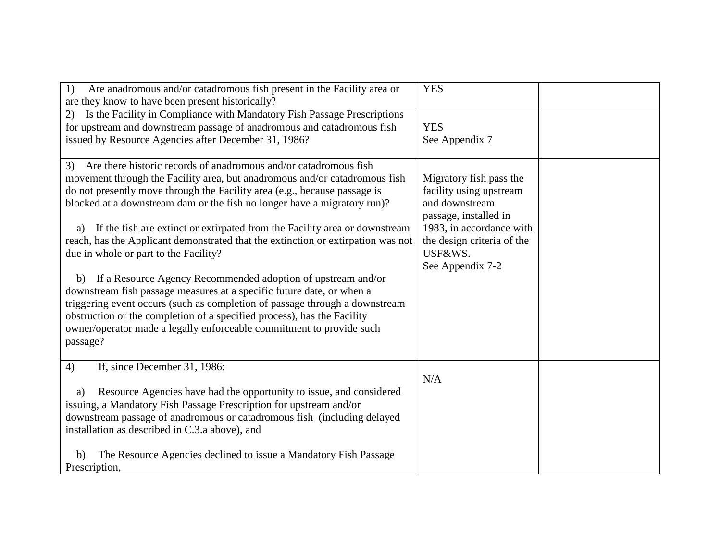| Are anadromous and/or catadromous fish present in the Facility area or<br>1)<br>are they know to have been present historically?                                                                                                                                                                                                                                                                  | <b>YES</b>                                                                                                                |  |
|---------------------------------------------------------------------------------------------------------------------------------------------------------------------------------------------------------------------------------------------------------------------------------------------------------------------------------------------------------------------------------------------------|---------------------------------------------------------------------------------------------------------------------------|--|
| Is the Facility in Compliance with Mandatory Fish Passage Prescriptions<br>(2)<br>for upstream and downstream passage of anadromous and catadromous fish<br>issued by Resource Agencies after December 31, 1986?                                                                                                                                                                                  | <b>YES</b><br>See Appendix 7                                                                                              |  |
| Are there historic records of anadromous and/or catadromous fish<br>3)<br>movement through the Facility area, but anadromous and/or catadromous fish<br>do not presently move through the Facility area (e.g., because passage is<br>blocked at a downstream dam or the fish no longer have a migratory run)?<br>If the fish are extinct or extirpated from the Facility area or downstream<br>a) | Migratory fish pass the<br>facility using upstream<br>and downstream<br>passage, installed in<br>1983, in accordance with |  |
| reach, has the Applicant demonstrated that the extinction or extirpation was not<br>due in whole or part to the Facility?                                                                                                                                                                                                                                                                         | the design criteria of the<br>USF&WS.<br>See Appendix 7-2                                                                 |  |
| b) If a Resource Agency Recommended adoption of upstream and/or<br>downstream fish passage measures at a specific future date, or when a                                                                                                                                                                                                                                                          |                                                                                                                           |  |
| triggering event occurs (such as completion of passage through a downstream<br>obstruction or the completion of a specified process), has the Facility<br>owner/operator made a legally enforceable commitment to provide such                                                                                                                                                                    |                                                                                                                           |  |
| passage?                                                                                                                                                                                                                                                                                                                                                                                          |                                                                                                                           |  |
| 4)<br>If, since December 31, 1986:                                                                                                                                                                                                                                                                                                                                                                | N/A                                                                                                                       |  |
| Resource Agencies have had the opportunity to issue, and considered<br>a)                                                                                                                                                                                                                                                                                                                         |                                                                                                                           |  |
| issuing, a Mandatory Fish Passage Prescription for upstream and/or<br>downstream passage of anadromous or catadromous fish (including delayed<br>installation as described in C.3.a above), and                                                                                                                                                                                                   |                                                                                                                           |  |
| The Resource Agencies declined to issue a Mandatory Fish Passage<br>b)<br>Prescription,                                                                                                                                                                                                                                                                                                           |                                                                                                                           |  |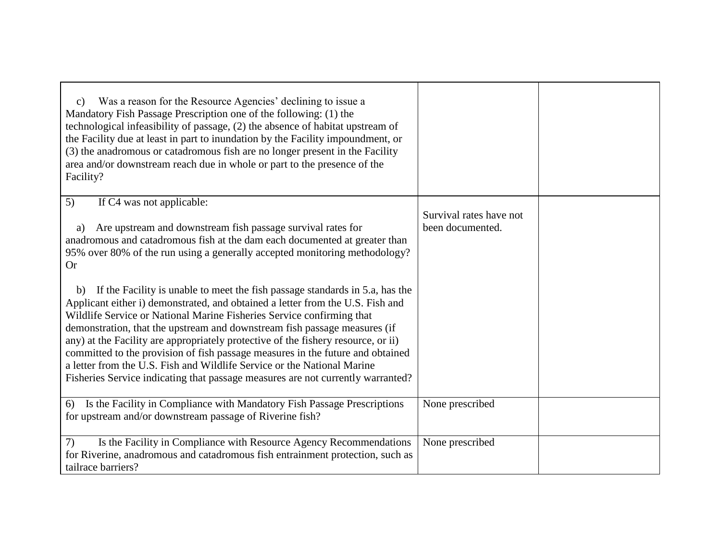| Was a reason for the Resource Agencies' declining to issue a<br>$\mathbf{c}$ )<br>Mandatory Fish Passage Prescription one of the following: (1) the<br>technological infeasibility of passage, (2) the absence of habitat upstream of<br>the Facility due at least in part to inundation by the Facility impoundment, or<br>(3) the anadromous or catadromous fish are no longer present in the Facility<br>area and/or downstream reach due in whole or part to the presence of the<br>Facility?                                                                                                                                                               |                         |  |
|-----------------------------------------------------------------------------------------------------------------------------------------------------------------------------------------------------------------------------------------------------------------------------------------------------------------------------------------------------------------------------------------------------------------------------------------------------------------------------------------------------------------------------------------------------------------------------------------------------------------------------------------------------------------|-------------------------|--|
| 5)<br>If C4 was not applicable:                                                                                                                                                                                                                                                                                                                                                                                                                                                                                                                                                                                                                                 |                         |  |
|                                                                                                                                                                                                                                                                                                                                                                                                                                                                                                                                                                                                                                                                 | Survival rates have not |  |
| Are upstream and downstream fish passage survival rates for<br>a)<br>anadromous and catadromous fish at the dam each documented at greater than                                                                                                                                                                                                                                                                                                                                                                                                                                                                                                                 | been documented.        |  |
| 95% over 80% of the run using a generally accepted monitoring methodology?                                                                                                                                                                                                                                                                                                                                                                                                                                                                                                                                                                                      |                         |  |
| <b>Or</b>                                                                                                                                                                                                                                                                                                                                                                                                                                                                                                                                                                                                                                                       |                         |  |
| If the Facility is unable to meet the fish passage standards in 5.a, has the<br>b)<br>Applicant either i) demonstrated, and obtained a letter from the U.S. Fish and<br>Wildlife Service or National Marine Fisheries Service confirming that<br>demonstration, that the upstream and downstream fish passage measures (if<br>any) at the Facility are appropriately protective of the fishery resource, or ii)<br>committed to the provision of fish passage measures in the future and obtained<br>a letter from the U.S. Fish and Wildlife Service or the National Marine<br>Fisheries Service indicating that passage measures are not currently warranted? |                         |  |
| 6) Is the Facility in Compliance with Mandatory Fish Passage Prescriptions                                                                                                                                                                                                                                                                                                                                                                                                                                                                                                                                                                                      | None prescribed         |  |
| for upstream and/or downstream passage of Riverine fish?                                                                                                                                                                                                                                                                                                                                                                                                                                                                                                                                                                                                        |                         |  |
| 7)<br>Is the Facility in Compliance with Resource Agency Recommendations                                                                                                                                                                                                                                                                                                                                                                                                                                                                                                                                                                                        | None prescribed         |  |
| for Riverine, anadromous and catadromous fish entrainment protection, such as                                                                                                                                                                                                                                                                                                                                                                                                                                                                                                                                                                                   |                         |  |
| tailrace barriers?                                                                                                                                                                                                                                                                                                                                                                                                                                                                                                                                                                                                                                              |                         |  |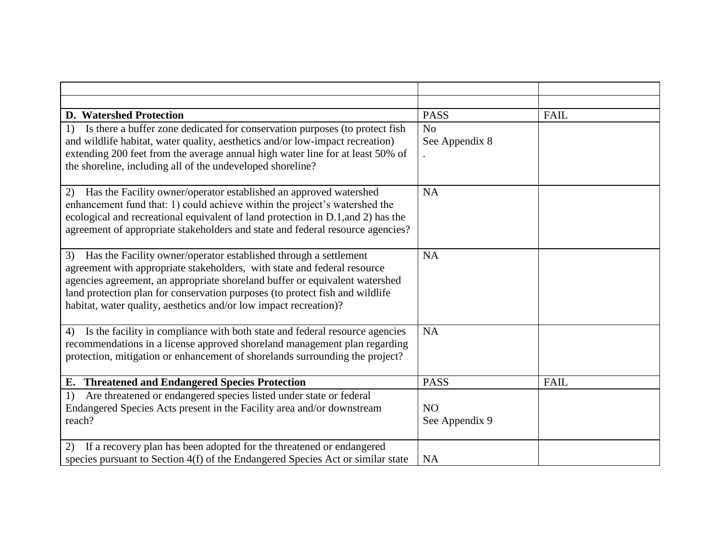| <b>D.</b> Watershed Protection                                                                                                                    | <b>PASS</b>    | <b>FAIL</b> |
|---------------------------------------------------------------------------------------------------------------------------------------------------|----------------|-------------|
| Is there a buffer zone dedicated for conservation purposes (to protect fish<br>1)                                                                 | N <sub>0</sub> |             |
| and wildlife habitat, water quality, aesthetics and/or low-impact recreation)                                                                     | See Appendix 8 |             |
| extending 200 feet from the average annual high water line for at least 50% of                                                                    |                |             |
| the shoreline, including all of the undeveloped shoreline?                                                                                        |                |             |
| Has the Facility owner/operator established an approved watershed<br>2)                                                                           | <b>NA</b>      |             |
| enhancement fund that: 1) could achieve within the project's watershed the                                                                        |                |             |
| ecological and recreational equivalent of land protection in D.1, and 2) has the                                                                  |                |             |
| agreement of appropriate stakeholders and state and federal resource agencies?                                                                    |                |             |
|                                                                                                                                                   |                |             |
| Has the Facility owner/operator established through a settlement<br>3)                                                                            | <b>NA</b>      |             |
| agreement with appropriate stakeholders, with state and federal resource                                                                          |                |             |
| agencies agreement, an appropriate shoreland buffer or equivalent watershed                                                                       |                |             |
| land protection plan for conservation purposes (to protect fish and wildlife<br>habitat, water quality, aesthetics and/or low impact recreation)? |                |             |
|                                                                                                                                                   |                |             |
| Is the facility in compliance with both state and federal resource agencies<br>4)                                                                 | <b>NA</b>      |             |
| recommendations in a license approved shoreland management plan regarding                                                                         |                |             |
| protection, mitigation or enhancement of shorelands surrounding the project?                                                                      |                |             |
|                                                                                                                                                   |                |             |
| E. Threatened and Endangered Species Protection                                                                                                   | <b>PASS</b>    | <b>FAIL</b> |
| Are threatened or endangered species listed under state or federal<br>1)                                                                          |                |             |
| Endangered Species Acts present in the Facility area and/or downstream<br>reach?                                                                  | NO             |             |
|                                                                                                                                                   | See Appendix 9 |             |
| If a recovery plan has been adopted for the threatened or endangered<br>(2)                                                                       |                |             |
| species pursuant to Section 4(f) of the Endangered Species Act or similar state                                                                   | <b>NA</b>      |             |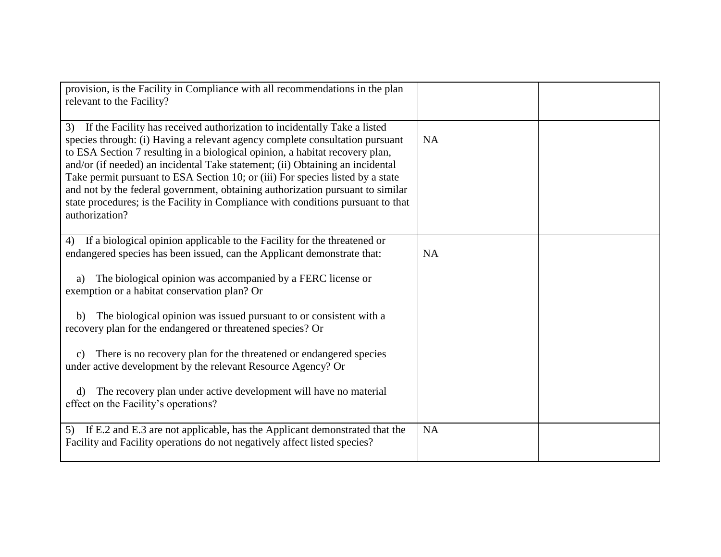| provision, is the Facility in Compliance with all recommendations in the plan<br>relevant to the Facility?                                                                                                                                                                                                                                                                                                                                                                                                                                                                                                |           |  |
|-----------------------------------------------------------------------------------------------------------------------------------------------------------------------------------------------------------------------------------------------------------------------------------------------------------------------------------------------------------------------------------------------------------------------------------------------------------------------------------------------------------------------------------------------------------------------------------------------------------|-----------|--|
| If the Facility has received authorization to incidentally Take a listed<br>3)<br>species through: (i) Having a relevant agency complete consultation pursuant<br>to ESA Section 7 resulting in a biological opinion, a habitat recovery plan,<br>and/or (if needed) an incidental Take statement; (ii) Obtaining an incidental<br>Take permit pursuant to ESA Section 10; or (iii) For species listed by a state<br>and not by the federal government, obtaining authorization pursuant to similar<br>state procedures; is the Facility in Compliance with conditions pursuant to that<br>authorization? | <b>NA</b> |  |
| If a biological opinion applicable to the Facility for the threatened or<br>4)<br>endangered species has been issued, can the Applicant demonstrate that:                                                                                                                                                                                                                                                                                                                                                                                                                                                 | <b>NA</b> |  |
| The biological opinion was accompanied by a FERC license or<br>a)<br>exemption or a habitat conservation plan? Or                                                                                                                                                                                                                                                                                                                                                                                                                                                                                         |           |  |
| The biological opinion was issued pursuant to or consistent with a<br>b)<br>recovery plan for the endangered or threatened species? Or                                                                                                                                                                                                                                                                                                                                                                                                                                                                    |           |  |
| There is no recovery plan for the threatened or endangered species<br>$\mathbf{c}$ )<br>under active development by the relevant Resource Agency? Or                                                                                                                                                                                                                                                                                                                                                                                                                                                      |           |  |
| The recovery plan under active development will have no material<br>$\rm d$<br>effect on the Facility's operations?                                                                                                                                                                                                                                                                                                                                                                                                                                                                                       |           |  |
| 5) If E.2 and E.3 are not applicable, has the Applicant demonstrated that the<br>Facility and Facility operations do not negatively affect listed species?                                                                                                                                                                                                                                                                                                                                                                                                                                                | <b>NA</b> |  |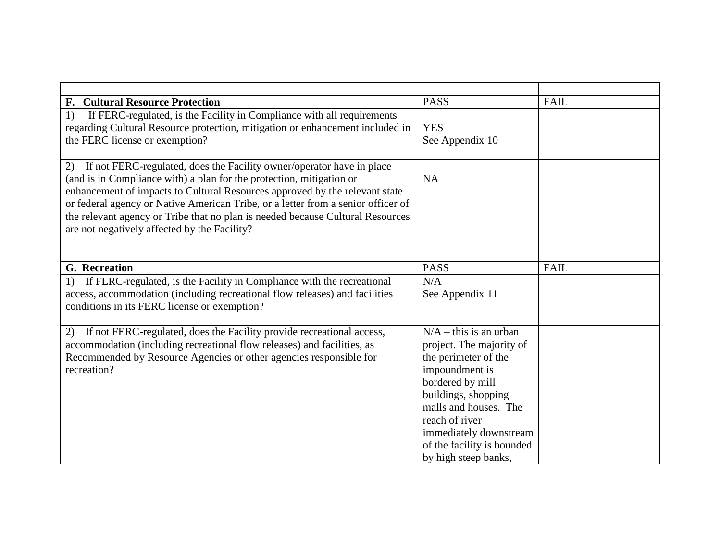| <b>F. Cultural Resource Protection</b>                                                                                                                                                                                                                                                                                                                                                                                                                   | <b>PASS</b>                                                                                                                                                                                                                                                                     | <b>FAIL</b> |
|----------------------------------------------------------------------------------------------------------------------------------------------------------------------------------------------------------------------------------------------------------------------------------------------------------------------------------------------------------------------------------------------------------------------------------------------------------|---------------------------------------------------------------------------------------------------------------------------------------------------------------------------------------------------------------------------------------------------------------------------------|-------------|
| If FERC-regulated, is the Facility in Compliance with all requirements<br>1)<br>regarding Cultural Resource protection, mitigation or enhancement included in<br>the FERC license or exemption?                                                                                                                                                                                                                                                          | <b>YES</b><br>See Appendix 10                                                                                                                                                                                                                                                   |             |
| 2)<br>If not FERC-regulated, does the Facility owner/operator have in place<br>(and is in Compliance with) a plan for the protection, mitigation or<br>enhancement of impacts to Cultural Resources approved by the relevant state<br>or federal agency or Native American Tribe, or a letter from a senior officer of<br>the relevant agency or Tribe that no plan is needed because Cultural Resources<br>are not negatively affected by the Facility? | <b>NA</b>                                                                                                                                                                                                                                                                       |             |
| <b>G.</b> Recreation                                                                                                                                                                                                                                                                                                                                                                                                                                     | <b>PASS</b>                                                                                                                                                                                                                                                                     | <b>FAIL</b> |
| If FERC-regulated, is the Facility in Compliance with the recreational<br>1)<br>access, accommodation (including recreational flow releases) and facilities<br>conditions in its FERC license or exemption?                                                                                                                                                                                                                                              | N/A<br>See Appendix 11                                                                                                                                                                                                                                                          |             |
| If not FERC-regulated, does the Facility provide recreational access,<br>2)<br>accommodation (including recreational flow releases) and facilities, as<br>Recommended by Resource Agencies or other agencies responsible for<br>recreation?                                                                                                                                                                                                              | $\overline{N/A}$ – this is an urban<br>project. The majority of<br>the perimeter of the<br>impoundment is<br>bordered by mill<br>buildings, shopping<br>malls and houses. The<br>reach of river<br>immediately downstream<br>of the facility is bounded<br>by high steep banks, |             |